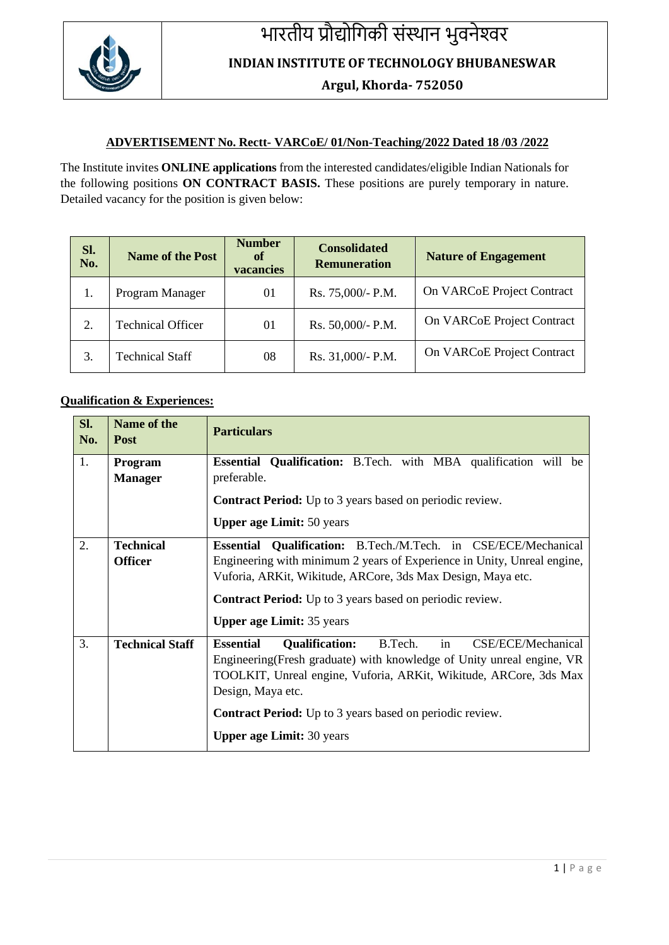

## भारतीय प्रौद्योगिकी संस्थान भुवनेश्वर

**INDIAN INSTITUTE OF TECHNOLOGY BHUBANESWAR**

**Argul, Khorda- 752050**

## **ADVERTISEMENT No. Rectt- VARCoE/ 01/Non-Teaching/2022 Dated 18 /03 /2022**

The Institute invites **ONLINE applications** from the interested candidates/eligible Indian Nationals for the following positions **ON CONTRACT BASIS.** These positions are purely temporary in nature. Detailed vacancy for the position is given below:

| Sl.<br>No. | <b>Name of the Post</b>  | <b>Number</b><br>of<br>vacancies | <b>Consolidated</b><br><b>Remuneration</b> | <b>Nature of Engagement</b> |
|------------|--------------------------|----------------------------------|--------------------------------------------|-----------------------------|
|            | Program Manager          | 01                               | Rs. 75,000/- P.M.                          | On VARCoE Project Contract  |
| 2.         | <b>Technical Officer</b> | 01                               | Rs. 50,000/- P.M.                          | On VARCoE Project Contract  |
|            | <b>Technical Staff</b>   | 08                               | Rs. 31,000/- P.M.                          | On VARCoE Project Contract  |

## **Qualification & Experiences:**

| Sl.<br>No. | <b>Name of the</b><br><b>Post</b> | <b>Particulars</b>                                                               |  |  |
|------------|-----------------------------------|----------------------------------------------------------------------------------|--|--|
| 1.         | Program                           | <b>Essential Qualification:</b> B.Tech. with MBA qualification will be           |  |  |
|            | <b>Manager</b>                    | preferable.                                                                      |  |  |
|            |                                   | <b>Contract Period:</b> Up to 3 years based on periodic review.                  |  |  |
|            |                                   | <b>Upper age Limit: 50 years</b>                                                 |  |  |
| 2.         | <b>Technical</b>                  | Essential Qualification: B.Tech./M.Tech. in CSE/ECE/Mechanical                   |  |  |
|            | <b>Officer</b>                    | Engineering with minimum 2 years of Experience in Unity, Unreal engine,          |  |  |
|            |                                   | Vuforia, ARKit, Wikitude, ARCore, 3ds Max Design, Maya etc.                      |  |  |
|            |                                   | <b>Contract Period:</b> Up to 3 years based on periodic review.                  |  |  |
|            |                                   | <b>Upper age Limit: 35 years</b>                                                 |  |  |
| 3.         | <b>Technical Staff</b>            | in<br><b>Essential</b><br>B.Tech.<br><b>Qualification:</b><br>CSE/ECE/Mechanical |  |  |
|            |                                   | Engineering (Fresh graduate) with knowledge of Unity unreal engine, VR           |  |  |
|            |                                   | TOOLKIT, Unreal engine, Vuforia, ARKit, Wikitude, ARCore, 3ds Max                |  |  |
|            |                                   | Design, Maya etc.                                                                |  |  |
|            |                                   | <b>Contract Period:</b> Up to 3 years based on periodic review.                  |  |  |
|            |                                   | <b>Upper age Limit: 30 years</b>                                                 |  |  |